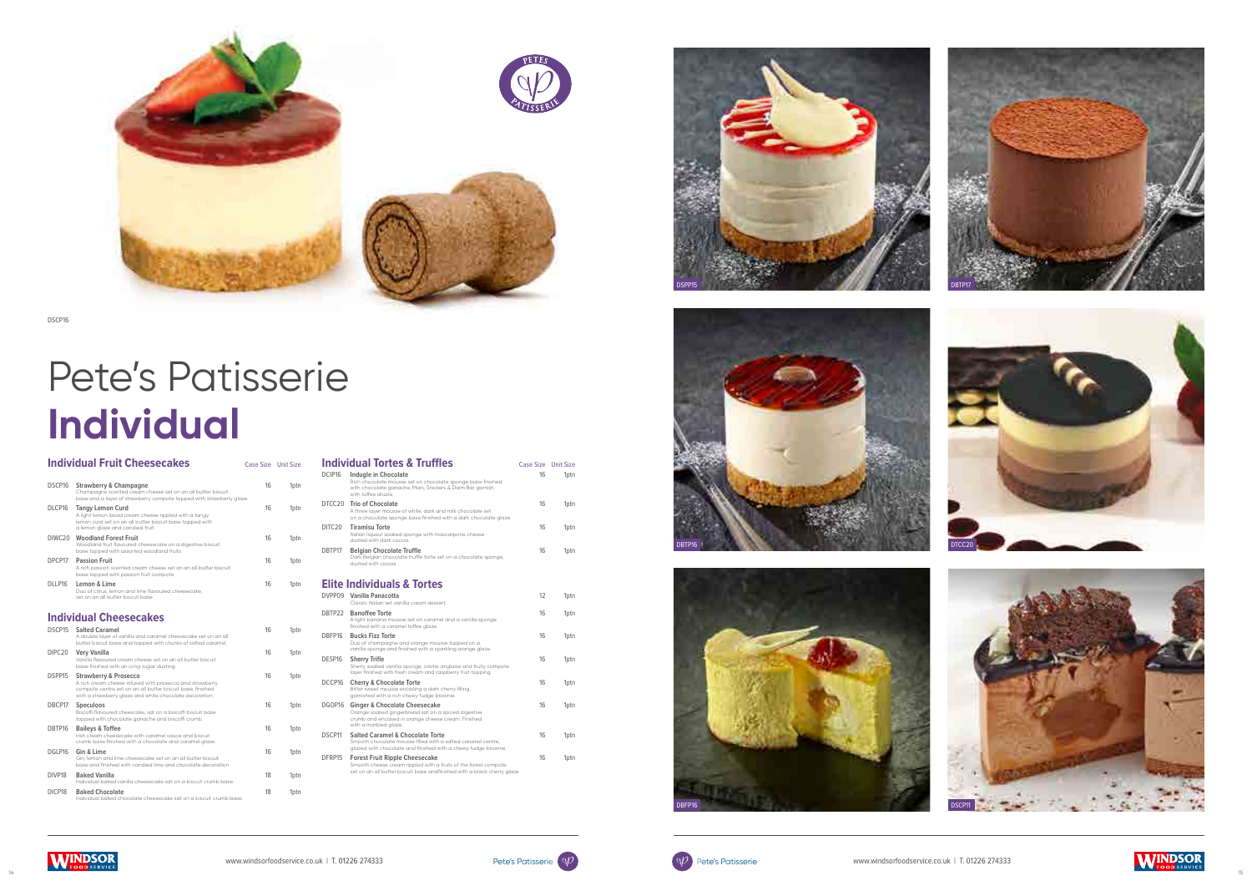





|                    | <b>Individual Fruit Cheesecakes</b>                                                                                                                                                                                   | Case Size Unit Size |                  |  |
|--------------------|-----------------------------------------------------------------------------------------------------------------------------------------------------------------------------------------------------------------------|---------------------|------------------|--|
| DSCP16             | <b>Strawberry &amp; Champagne</b><br>Champagne scented cream cheese set on an all butter biscuit<br>base and a layer of strawberry compote topped with strawberry glaze.                                              | 16                  | 1 <sub>ptn</sub> |  |
| DLCP16             | <b>Tangy Lemon Curd</b><br>A light lemon laced cream cheese rippled with a tangy<br>lemon curd set on an all butter biscuit base topped with<br>a lemon glaze and candied fruit.                                      | 16                  | 1 <sub>ptn</sub> |  |
| DIWC <sub>20</sub> | <b>Woodland Forest Fruit</b><br>Woodland fruit flavoured cheesecake on a digestive biscuit<br>base topped with assorted woodland fruits.                                                                              | 16                  | 1ptn             |  |
| DPCP17             | <b>Passion Fruit</b><br>A rich passion scented cream cheese set on an all butter biscuit<br>base topped with passion fruit compote.                                                                                   | 16                  | 1ptn             |  |
| DLLP16             | Lemon & Lime<br>Duo of citrus, lemon and lime flavoured cheesecake,<br>set on an all butter biscuit base.                                                                                                             | 16                  | 1 <sub>ptn</sub> |  |
|                    | <b>Individual Cheesecakes</b>                                                                                                                                                                                         |                     |                  |  |
| DSCP15             | <b>Salted Caramel</b><br>A double layer of vanilla and caramel cheesecake set on an all<br>butter biscuit base and topped with chunks of salted caramel.                                                              | 16                  | 1ptn             |  |
| DIPC <sub>20</sub> | Very Vanilla<br>Vanilla flavoured cream cheese set on an all butter biscuit<br>base finished with an icing sugar dusting.                                                                                             | 16                  | 1ptn             |  |
| DSPP15             | <b>Strawberry &amp; Prosecco</b><br>A rich cream cheese infused with prosecco and strawberry<br>compote centre set on an all butter biscuit base, finished<br>with a strawberry glaze and white chocolate decoration. | 16                  | 1ptn             |  |
| DBCP17             | Speculoos<br>Biscoffi flavoured cheescake, sat on a biscoffi biscuit base<br>topped with chocolate ganache and biscoffi crumb.                                                                                        | 16                  | 1ptn             |  |
| DRTP16             | <b>Baileys &amp; Toffee</b><br>Irish cream cheesecake with caramel sauce and biscuit<br>crumb base finished with a chocolate and caramel glaze.                                                                       | 16                  | 1ptn             |  |
| DGLP16             | Gin & Lime<br>Gin, lemon and lime cheesecake set on an all butter biscuit<br>base and finished with candied lime and chocolate decoration.                                                                            | 16                  | 1ptn             |  |
| DIVP <sub>18</sub> | <b>Baked Vanilla</b><br>Individual baked vanilla cheesecake sat on a biscuit crumb base.                                                                                                                              | 18                  | 1ptn             |  |
| DICP18             | <b>Baked Chocolate</b><br>Individual baked chocolate cheesecake sat on a biscuit crumb base.                                                                                                                          | 18                  | 1ptn             |  |

|        | <b>Individual Tortes &amp; Truffles</b>                                                                                                                                              | Case Size Unit Size |                  |
|--------|--------------------------------------------------------------------------------------------------------------------------------------------------------------------------------------|---------------------|------------------|
| DCIP16 | Indugle in Chocolate<br>Rich chocolate mousse set on chocolate sponge base finished<br>with chocolate ganache, Mars, Snickers & Daim Bar garnish<br>with toffee drizzle              | 16                  | 1 <sub>ptn</sub> |
|        | DTCC20 Trio of Chocolate<br>A three layer mousse of white, dark and milk chocolate set<br>on a chocolate sponge base finished with a dark chocolate glaze.                           | 16                  | 1ptn             |
| DITC20 | <b>Tiramisu Torte</b><br>Italian liqueur soaked sponge with mascarpone cheese<br>dusted with dark cocoa.                                                                             | 16                  | 1ptn             |
| DRTP17 | <b>Belgian Chocolate Truffle</b><br>Dark Belgian chocolate truffle torte set on a chocolate sponge,<br>dusted with cocoa                                                             | 16                  | 1 <sub>ptn</sub> |
|        | <b>Elite Individuals &amp; Tortes</b>                                                                                                                                                |                     |                  |
| DVPP09 | Vanilla Panacotta<br>Classic Italian set vanilla cream dessert                                                                                                                       | 12                  | 1ptn             |
| DBTP22 | <b>Banoffee Torte</b><br>A light banana mousse set on caramel and a vanilla sponge<br>finished with a caramel toffee glaze.                                                          | 16                  | 1 <sub>ptn</sub> |
| DBFP16 | <b>Bucks Fizz Torte</b><br>Duo of champagne and orange mousse topped on a<br>vanilla sponge and finished with a sparkling orange glaze.                                              | 16                  | 1ptn             |
| DESP16 | <b>Sherry Trifle</b><br>Sherry soaked vanilla sponge, crème anglaise and fruity compote<br>layer finished with fresh cream and raspberry fruit topping.                              | 16                  | 1ptn             |
| DCCP16 | <b>Cherry &amp; Chocolate Torte</b><br>Bitter sweet mousse encasing a dark cherry filling,<br>garnished with a rich chewy fudge brownie.                                             | 16                  | 1ptn             |
| DGOP16 | <b>Ginger &amp; Chocolate Cheesecake</b><br>Orange soaked gingerbread sat on a spiced digestive<br>crumb and encased in orange cheese cream. Finished<br>with a marbled glaze.       | 16                  | 1ptn             |
| DSCP11 | Salted Caramel & Chocolate Torte<br>Smooth chocolate mousse filled with a salted caramel centre,<br>glazed with chocolate and finished with a chewy fudge brownie.                   | 16                  | 1ptn             |
| DFRP15 | <b>Forest Fruit Ripple Cheesecake</b><br>Smooth cheese cream rippled with a fruits of the forest compote<br>set on an all butter biscuit base andfinished with a black cherry glaze. | 16                  | 1ptn             |

# Pete's Patisserie **Individual**









DSCP16



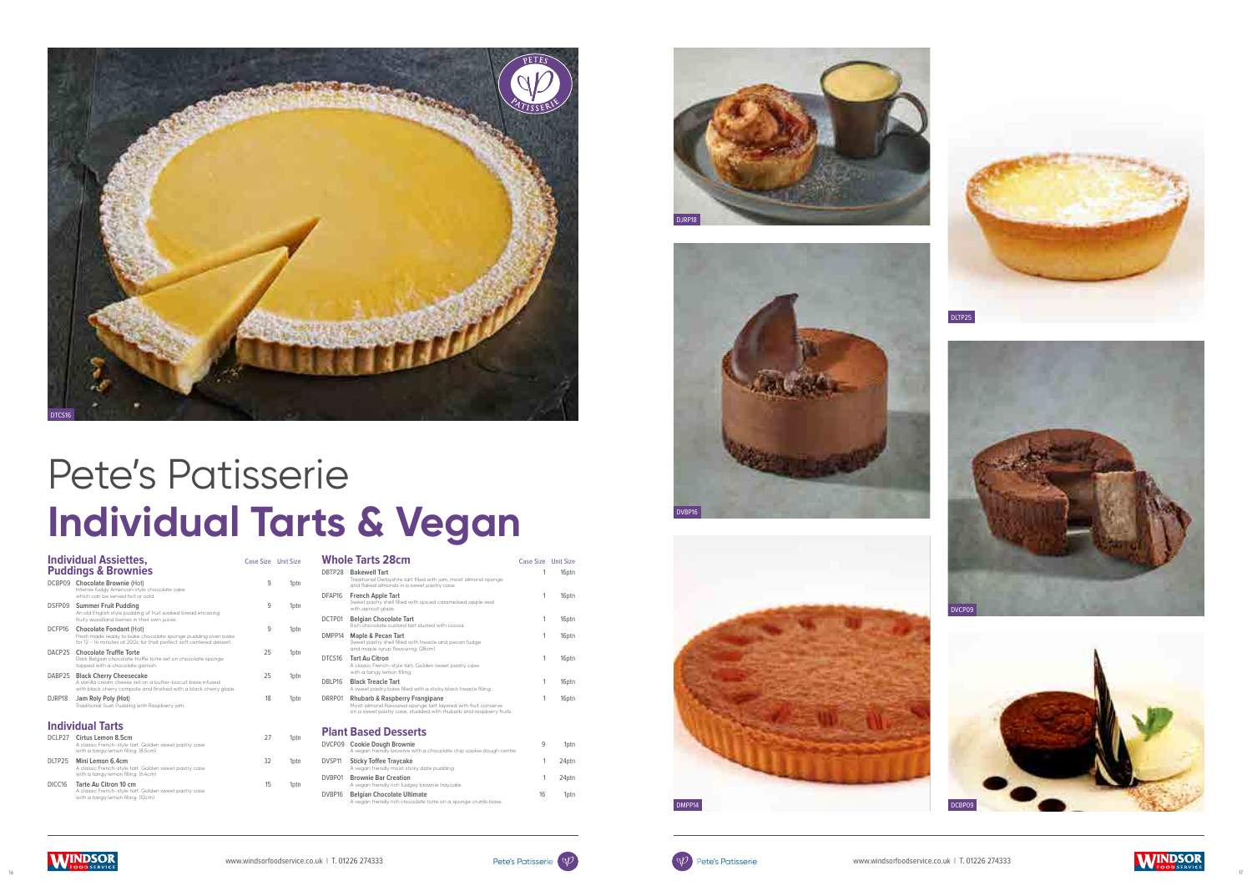

|                     | <b>Individual Assiettes,</b><br><b>Puddings &amp; Brownies</b>                                                                                                       | Case Size Unit Size |                  |
|---------------------|----------------------------------------------------------------------------------------------------------------------------------------------------------------------|---------------------|------------------|
|                     | DCBP09 Chocolate Brownie (Hot)<br>Intense fudgy American style chocolate cake<br>which can be served hot or cold.                                                    | 9                   | 1ptn             |
| DSFP09              | <b>Summer Fruit Pudding</b><br>An old English style pudding of fruit soaked bread encasing<br>fruity woodland berries in their own juices.                           | 9                   | 1 <sub>ptn</sub> |
| DCFP16              | <b>Chocolate Fondant (Hot)</b><br>Fresh made ready to bake chocolate sponge pudding oven bake<br>for 12 - 14 minutes at 200c for that perfect soft centered dessert. | 9                   | 1 <sub>ptn</sub> |
| DACP25              | <b>Chocolate Truffle Torte</b><br>Dark Belgian chocolate truffle torte set on chocolate sponge<br>topped with a chocolate garnish.                                   | 25                  | 1 <sub>ptn</sub> |
| DABP25              | <b>Black Cherry Cheesecake</b><br>A vanilla cream cheese set on a butter-biscuit base infused<br>with black cherry compote and finished with a black cherry glaze.   | 25                  | 1 <sub>ptn</sub> |
| D.JRP18             | Jam Roly Poly (Hot)<br>Traditional Suet Pudding with Raspberry jam.                                                                                                  | 18                  | 1 <sub>ptn</sub> |
|                     | <b>Individual Tarts</b>                                                                                                                                              |                     |                  |
| DCLP27              | Cirtus Lemon 8.5cm<br>A classic French-style tart. Golden sweet pastry case<br>with a tangy lemon filling. (8.5cm)                                                   | 27                  | 1 <sub>ptn</sub> |
| DI TP <sub>25</sub> | Mini Lemon 6.4cm<br>A classic French-style tart. Golden sweet pastry case<br>with a tangy lemon filling. (6.4cm)                                                     | 32                  | 1 <sub>ptn</sub> |
| DICC16              | Tarte Au Citron 10 cm<br>A classic French-style tart. Golden sweet pastry case<br>with a tangy lemon filling. (10cm)                                                 | 15                  | 1 <sub>ptn</sub> |

A vegan friendly rich fudgey brownie traycake. **Patan Chocolate Ultimate** 

|                    | <b>Whole Tarts 28cm</b>                                                                                                                                                | Case Size Unit Size |       |
|--------------------|------------------------------------------------------------------------------------------------------------------------------------------------------------------------|---------------------|-------|
| DRTP28             | <b>Bakewell Tart</b><br>Traditional Derbyshire tart filled with jam, moist almond sponge<br>and flaked almonds in a sweet pastry case.                                 | 1                   | 16ptn |
| DFAP <sub>16</sub> | <b>French Apple Tart</b><br>Sweet pastry shell filled with spiced caramelised apple seal<br>with apricot glaze.                                                        | 1                   | 16ptn |
| DCTP01             | <b>Belgian Chocolate Tart</b><br>Rich chocolate custard tart dusted with cocoa                                                                                         | 1                   | 16ptn |
| DMPP14             | Maple & Pecan Tart<br>Sweet pastry shell filled with treacle and pecan fudge<br>and maple syrup flavouring. (28cm)                                                     | 1                   | 16ptn |
| DTCS16             | Tart Au Citron<br>A classic French-style tart. Golden sweet pastry case<br>with a tangy lemon filling.                                                                 | 1                   | 16ptn |
| DBLP16             | <b>Black Treacle Tart</b><br>A sweet pastry base filled with a sticky black treacle filling.                                                                           | 1                   | 16ptn |
| DRRP01             | Rhubarb & Raspberry Frangipane<br>Moist almond flavoured sponge tart layered with fruit conserve<br>on a sweet pastry case, studded with rhubarb and raspberry fruits. | 1                   | 16ptn |
|                    | <b>Plant Based Desserts</b>                                                                                                                                            |                     |       |
| DVCP09             | <b>Cookie Dough Brownie</b><br>A vegan friendly brownie with a chocolate chip cookie dough centre.                                                                     | 9                   | 1ptn  |
| DVSP11             | <b>Sticky Toffee Traycake</b><br>A vegan friendly moist sticky date pudding.                                                                                           | 1                   | 24ptn |
| DVBP01             | <b>Brownie Bar Creation</b>                                                                                                                                            | 1                   | 24ptn |

A vegan friendly rich chocolate torte on a sponge crumb base.

# Pete's Patisserie **Individual Tarts & Vegan**















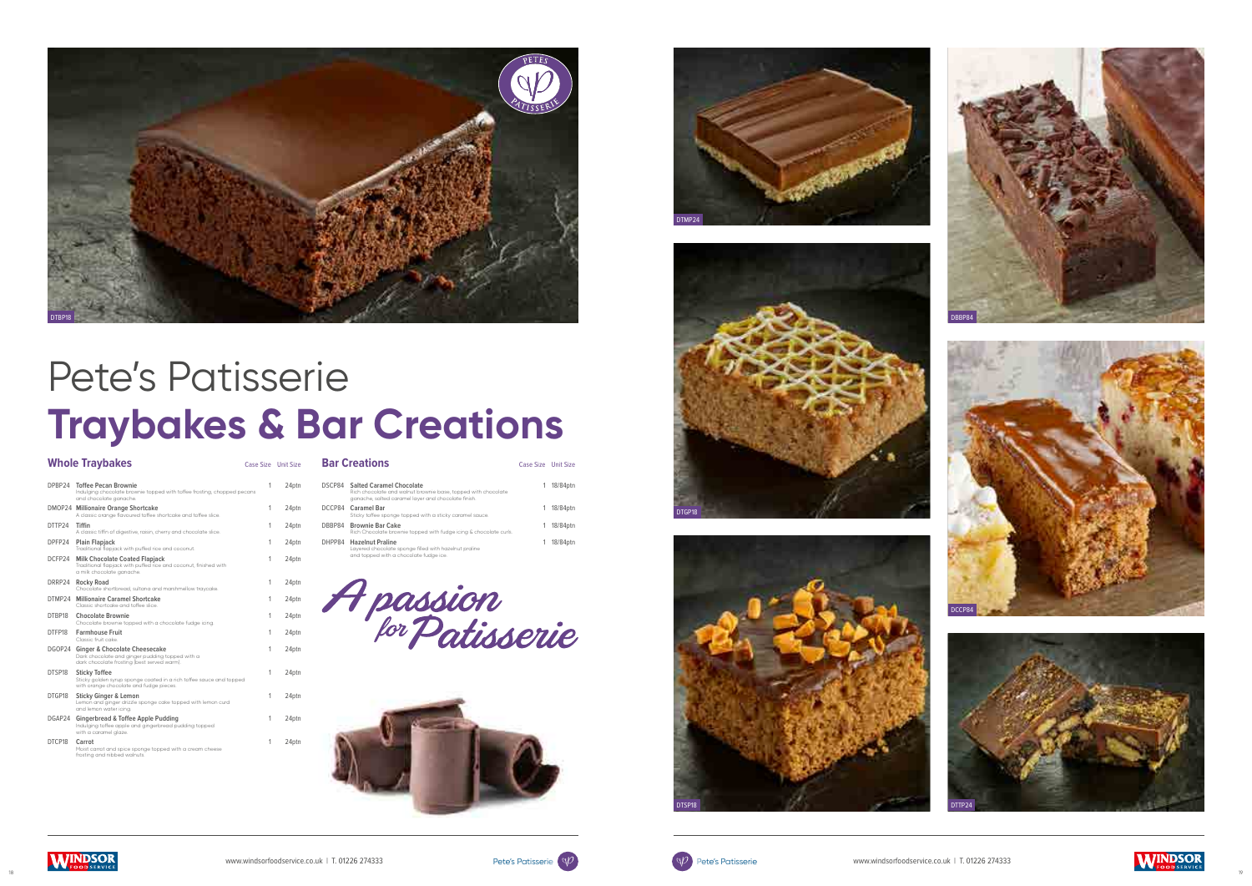





|        | <b>Whole Traybakes</b>                                                                                                                 | Case Size Unit Size |       |
|--------|----------------------------------------------------------------------------------------------------------------------------------------|---------------------|-------|
| DPBP24 | <b>Toffee Pecan Brownie</b><br>Indulging chocolate brownie topped with toffee frosting, chopped pecans<br>and chocolate ganache.       | 1                   | 24ptn |
|        | DMOP24 Millionaire Orange Shortcake<br>A classic orange flavoured toffee shortcake and toffee slice.                                   | 1                   | 24ptn |
| DTTP24 | Tiffin<br>A classic tiffin of digestive, raisin, cherry and chocolate slice.                                                           | 1                   | 24ptn |
| DPFP24 | Plain Flapjack<br>Traditional flapjack with puffed rice and coconut.                                                                   | 1                   | 24ptn |
| DCFP24 | <b>Milk Chocolate Coated Flapjack</b><br>Traditional flapjack with puffed rice and coconut, finished with<br>a milk chocolate ganache. | 1                   | 24ptn |
| DRRP24 | <b>Rocky Road</b><br>Chocolate shortbread, sultana and marshmellow traycake.                                                           | 1                   | 24ptn |
|        | DTMP24 Millionaire Caramel Shortcake<br>Classic shortcake and toffee slice.                                                            | 1                   | 24ptn |
| DTBP18 | <b>Chocolate Brownie</b><br>Chocolate brownie topped with a chocolate fudge icing.                                                     | 1                   | 24ptn |
| DTFP18 | <b>Farmhouse Fruit</b><br>Classic fruit cake                                                                                           | 1                   | 24ptn |
|        | DGOP24 Ginger & Chocolate Cheesecake<br>Dark chocolate and ginger pudding topped with a<br>dark chocolate frosting (best served warm). | 1                   | 24ptn |
| DTSP18 | <b>Sticky Toffee</b><br>Sticky golden syrup sponge coated in a rich toffee sauce and topped<br>with orange chocolate and fudge pieces. | 1                   | 24ptn |
| DTGP18 | <b>Sticky Ginger &amp; Lemon</b><br>Lemon and ginger drizzle sponge cake topped with lemon curd<br>and lemon water icing.              | 1                   | 24ptn |
| DGAP24 | Gingerbread & Toffee Apple Pudding<br>Indulging toffee apple and gingerbread pudding topped<br>with a caramel glaze.                   | 1                   | 24ptn |
| DTCP18 | Carrot<br>Moist carrot and spice sponge topped with a cream cheese<br>frosting and nibbed walnuts.                                     | 1                   | 24ptn |

### **Bar Creations** Case Size Unit Size

| <b>DSCP84</b> Salted Caramel Chocolate<br>Rich chocolate and walnut brownie base, topped with chocolate<br>ganache, salted caramel layer and chocolate finish. | 18/84ptn |
|----------------------------------------------------------------------------------------------------------------------------------------------------------------|----------|
| DCCP84 Caramel Bar<br>Sticky toffee sponge topped with a sticky caramel sauce.                                                                                 | 18/84ptn |
| DBBP84 Brownie Bar Cake<br>Rich Chocolate brownie topped with fudge icing & chocolate curls.                                                                   | 18/84ptn |
| DHPP84 Hazelnut Praline<br>Layered chocolate sponge filled with hazelnut praline<br>and topped with a chocolate fudge ice.                                     | 18/84ptn |



















# Pete's Patisserie **Traybakes & Bar Creations**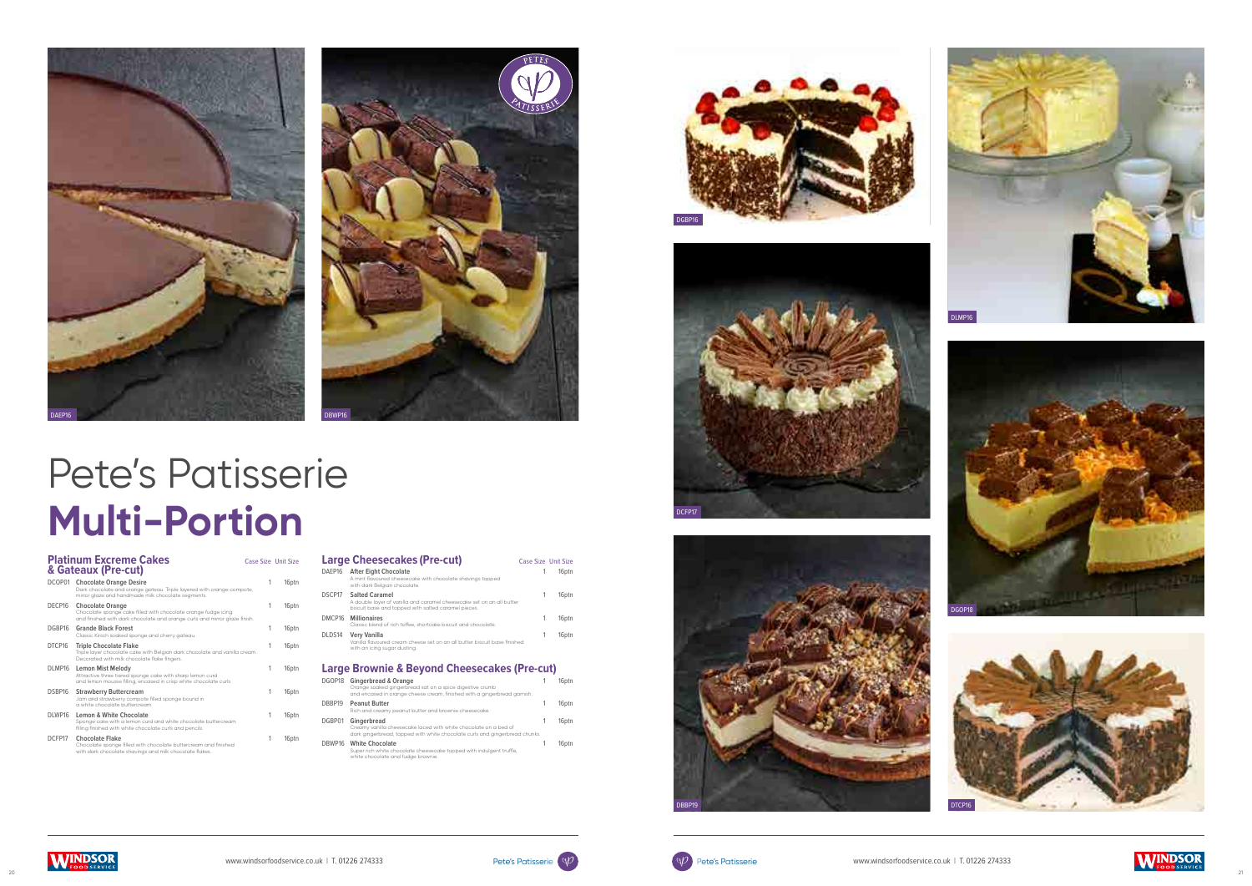

|         | <b>Platinum Excreme Cakes</b><br>& Gateaux (Pre-cut)                                                                                                                    | Case Size Unit Size |       |
|---------|-------------------------------------------------------------------------------------------------------------------------------------------------------------------------|---------------------|-------|
| DCOP01  | <b>Chocolate Orange Desire</b><br>Dark chocolate and orange gateau. Triple layered with orange compote,<br>mirror glaze and handmade milk chocolate segments.           | 1                   | 16ptn |
| DECP16  | <b>Chocolate Orange</b><br>Chocolate sponge cake filled with chocolate orange fudge icing<br>and finished with dark chocolate and orange curls and mirror glaze finish. | 1                   | 16ptn |
| DGBP16  | <b>Grande Black Forest</b><br>Classic Kirsch soaked sponge and cherry gateau.                                                                                           | 1                   | 16ptn |
| DTCP16  | <b>Triple Chocolate Flake</b><br>Triple layer chocolate cake with Belgian dark chocolate and vanilla cream.<br>Decorated with milk chocolate flake fingers.             | 1                   | 16ptn |
| DLMP16  | <b>Lemon Mist Melody</b><br>Attractive three tiered sponge cake with sharp lemon curd<br>and lemon mousse filling, encased in crisp white chocolate curls.              | 1                   | 16ptn |
| DSBP16  | <b>Strawberry Buttercream</b><br>Jam and strawberry compote filled sponge bound in<br>a white chocolate buttercream                                                     | 1                   | 16ptn |
| DI WP16 | Lemon & White Chocolate<br>Sponge cake with a lemon curd and white chocolate buttercream<br>filling finished with white chocolate curls and pencils.                    | 1                   | 16ptn |
| DCFP17  | <b>Chocolate Flake</b><br>Chocolate sponge filled with chocolate buttercream and finished<br>with dark chocolate shavings and milk chocolate flakes.                    | 1                   | 16ptn |
|         |                                                                                                                                                                         |                     |       |

|        | <b>Large Cheesecakes (Pre-cut)</b>                                                                                                                    | Case Size Unit Size |                   |
|--------|-------------------------------------------------------------------------------------------------------------------------------------------------------|---------------------|-------------------|
| DAEP16 | <b>After Eight Chocolate</b><br>A mint flavoured cheesecake with chocolate shavings topped<br>with dark Belaian chocolate.                            |                     | 16ptn             |
| DSCP17 | <b>Salted Caramel</b><br>A double layer of vanilla and caramel cheesecake set on an all butter<br>biscuit base and topped with salted caramel pieces. |                     | 16 <sub>ptn</sub> |
| DMCP16 | <b>Millionaires</b><br>Classic blend of rich toffee, shortcake biscuit and chocolate.                                                                 |                     | 16 <sub>ptn</sub> |
| DLDS14 | <b>Very Vanilla</b><br>Vanilla flavoured cream cheese set on an all butter biscuit base finished<br>with an icing sugar dusting.                      |                     | 16 <sub>ptn</sub> |
|        | <b>Large Brownie &amp; Beyond Cheesecakes (Pre-cut)</b>                                                                                               |                     |                   |
| DGOP18 | Gingerbread & Orange<br>Orange soaked gingerbread sat on a spice digestive crumb                                                                      |                     | 16ptn             |

|        | and encased in orange cheese cream, finished with a gingerbread garnish.                                                                                       |                   |
|--------|----------------------------------------------------------------------------------------------------------------------------------------------------------------|-------------------|
| DBBP19 | <b>Peanut Butter</b><br>Rich and creamy peanut butter and brownie cheesecake.                                                                                  | 16 <sub>ptn</sub> |
| DGBP01 | Gingerbread<br>Creamy vanilla cheesecake laced with white chocolate on a bed of<br>dark gingerbread, topped with white chocolate curls and gingerbread chunks. | 16 <sub>ptn</sub> |
| DBWP16 | <b>White Chocolate</b><br>Super rich white chocolate cheesecake topped with indulgent truffle,<br>white chocolate and fudge brownie.                           | 16ptn             |



















## Pete's Patisserie **Multi-Portion**